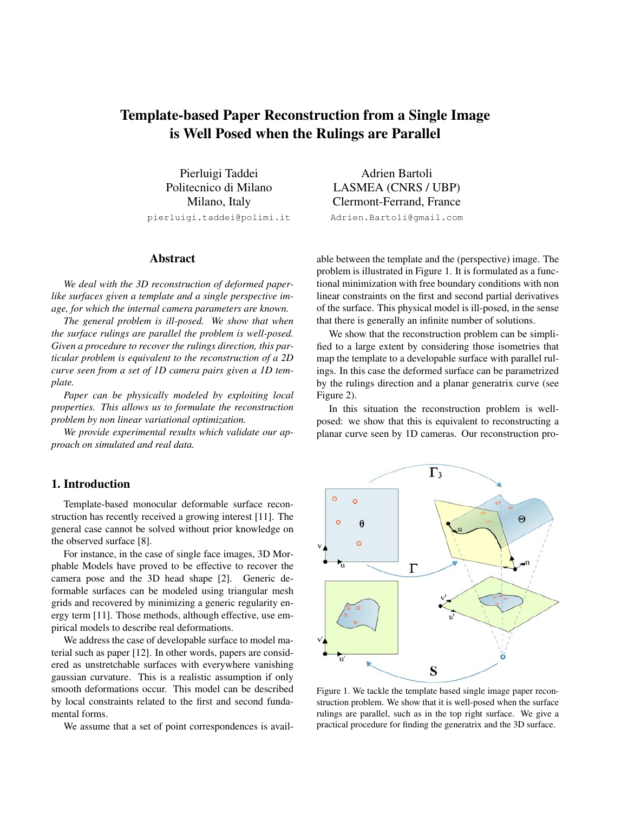# Template-based Paper Reconstruction from a Single Image is Well Posed when the Rulings are Parallel

Pierluigi Taddei Politecnico di Milano Milano, Italy pierluigi.taddei@polimi.it

#### Abstract

*We deal with the 3D reconstruction of deformed paperlike surfaces given a template and a single perspective image, for which the internal camera parameters are known.*

*The general problem is ill-posed. We show that when the surface rulings are parallel the problem is well-posed. Given a procedure to recover the rulings direction, this particular problem is equivalent to the reconstruction of a 2D curve seen from a set of 1D camera pairs given a 1D template.*

*Paper can be physically modeled by exploiting local properties. This allows us to formulate the reconstruction problem by non linear variational optimization.*

*We provide experimental results which validate our approach on simulated and real data.*

## 1. Introduction

Template-based monocular deformable surface reconstruction has recently received a growing interest [11]. The general case cannot be solved without prior knowledge on the observed surface [8].

For instance, in the case of single face images, 3D Morphable Models have proved to be effective to recover the camera pose and the 3D head shape [2]. Generic deformable surfaces can be modeled using triangular mesh grids and recovered by minimizing a generic regularity energy term [11]. Those methods, although effective, use empirical models to describe real deformations.

We address the case of developable surface to model material such as paper [12]. In other words, papers are considered as unstretchable surfaces with everywhere vanishing gaussian curvature. This is a realistic assumption if only smooth deformations occur. This model can be described by local constraints related to the first and second fundamental forms.

We assume that a set of point correspondences is avail-

Adrien Bartoli LASMEA (CNRS / UBP) Clermont-Ferrand, France Adrien.Bartoli@gmail.com

able between the template and the (perspective) image. The problem is illustrated in Figure 1. It is formulated as a functional minimization with free boundary conditions with non linear constraints on the first and second partial derivatives of the surface. This physical model is ill-posed, in the sense that there is generally an infinite number of solutions.

We show that the reconstruction problem can be simplified to a large extent by considering those isometries that map the template to a developable surface with parallel rulings. In this case the deformed surface can be parametrized by the rulings direction and a planar generatrix curve (see Figure 2).

In this situation the reconstruction problem is wellposed: we show that this is equivalent to reconstructing a planar curve seen by 1D cameras. Our reconstruction pro-



Figure 1. We tackle the template based single image paper reconstruction problem. We show that it is well-posed when the surface rulings are parallel, such as in the top right surface. We give a practical procedure for finding the generatrix and the 3D surface.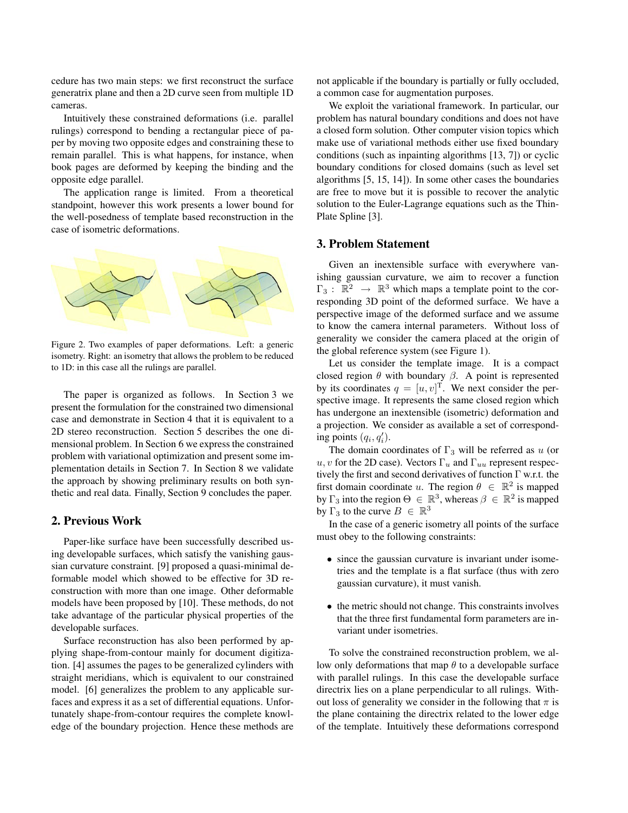cedure has two main steps: we first reconstruct the surface generatrix plane and then a 2D curve seen from multiple 1D cameras.

Intuitively these constrained deformations (i.e. parallel rulings) correspond to bending a rectangular piece of paper by moving two opposite edges and constraining these to remain parallel. This is what happens, for instance, when book pages are deformed by keeping the binding and the opposite edge parallel.

The application range is limited. From a theoretical standpoint, however this work presents a lower bound for the well-posedness of template based reconstruction in the case of isometric deformations.



Figure 2. Two examples of paper deformations. Left: a generic isometry. Right: an isometry that allows the problem to be reduced to 1D: in this case all the rulings are parallel.

The paper is organized as follows. In Section 3 we present the formulation for the constrained two dimensional case and demonstrate in Section 4 that it is equivalent to a 2D stereo reconstruction. Section 5 describes the one dimensional problem. In Section 6 we express the constrained problem with variational optimization and present some implementation details in Section 7. In Section 8 we validate the approach by showing preliminary results on both synthetic and real data. Finally, Section 9 concludes the paper.

# 2. Previous Work

Paper-like surface have been successfully described using developable surfaces, which satisfy the vanishing gaussian curvature constraint. [9] proposed a quasi-minimal deformable model which showed to be effective for 3D reconstruction with more than one image. Other deformable models have been proposed by [10]. These methods, do not take advantage of the particular physical properties of the developable surfaces.

Surface reconstruction has also been performed by applying shape-from-contour mainly for document digitization. [4] assumes the pages to be generalized cylinders with straight meridians, which is equivalent to our constrained model. [6] generalizes the problem to any applicable surfaces and express it as a set of differential equations. Unfortunately shape-from-contour requires the complete knowledge of the boundary projection. Hence these methods are not applicable if the boundary is partially or fully occluded, a common case for augmentation purposes.

We exploit the variational framework. In particular, our problem has natural boundary conditions and does not have a closed form solution. Other computer vision topics which make use of variational methods either use fixed boundary conditions (such as inpainting algorithms [13, 7]) or cyclic boundary conditions for closed domains (such as level set algorithms [5, 15, 14]). In some other cases the boundaries are free to move but it is possible to recover the analytic solution to the Euler-Lagrange equations such as the Thin-Plate Spline [3].

#### 3. Problem Statement

Given an inextensible surface with everywhere vanishing gaussian curvature, we aim to recover a function  $\Gamma_3$ :  $\mathbb{R}^2 \rightarrow \mathbb{R}^3$  which maps a template point to the corresponding 3D point of the deformed surface. We have a perspective image of the deformed surface and we assume to know the camera internal parameters. Without loss of generality we consider the camera placed at the origin of the global reference system (see Figure 1).

Let us consider the template image. It is a compact closed region  $\theta$  with boundary  $\beta$ . A point is represented by its coordinates  $q = [u, v]^T$ . We next consider the perspective image. It represents the same closed region which has undergone an inextensible (isometric) deformation and a projection. We consider as available a set of corresponding points  $(q_i, q'_i)$ .

The domain coordinates of  $\Gamma_3$  will be referred as u (or u, v for the 2D case). Vectors  $\Gamma_u$  and  $\Gamma_{uu}$  represent respectively the first and second derivatives of function Γ w.r.t. the first domain coordinate u. The region  $\theta \in \mathbb{R}^2$  is mapped by  $\Gamma_3$  into the region  $\Theta \in \mathbb{R}^3$ , whereas  $\beta \in \mathbb{R}^2$  is mapped by  $\Gamma_3$  to the curve  $B \in \mathbb{R}^3$ 

In the case of a generic isometry all points of the surface must obey to the following constraints:

- since the gaussian curvature is invariant under isometries and the template is a flat surface (thus with zero gaussian curvature), it must vanish.
- the metric should not change. This constraints involves that the three first fundamental form parameters are invariant under isometries.

To solve the constrained reconstruction problem, we allow only deformations that map  $\theta$  to a developable surface with parallel rulings. In this case the developable surface directrix lies on a plane perpendicular to all rulings. Without loss of generality we consider in the following that  $\pi$  is the plane containing the directrix related to the lower edge of the template. Intuitively these deformations correspond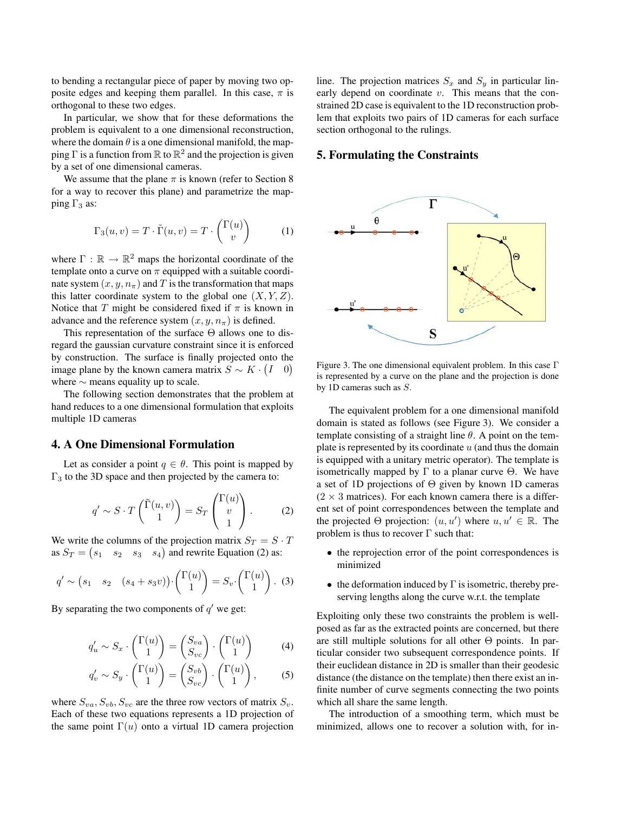to bending a rectangular piece of paper by moving two opposite edges and keeping them parallel. In this case,  $\pi$  is orthogonal to these two edges.

In particular, we show that for these deformations the problem is equivalent to a one dimensional reconstruction, where the domain  $\theta$  is a one dimensional manifold, the mapping  $\Gamma$  is a function from  $\mathbb R$  to  $\mathbb R^2$  and the projection is given by a set of one dimensional cameras.

We assume that the plane  $\pi$  is known (refer to Section 8) for a way to recover this plane) and parametrize the mapping  $\Gamma_3$  as:

$$
\Gamma_3(u, v) = T \cdot \tilde{\Gamma}(u, v) = T \cdot \begin{pmatrix} \Gamma(u) \\ v \end{pmatrix} \tag{1}
$$

where  $\Gamma : \mathbb{R} \to \mathbb{R}^2$  maps the horizontal coordinate of the template onto a curve on  $\pi$  equipped with a suitable coordinate system  $(x, y, n_\pi)$  and T is the transformation that maps this latter coordinate system to the global one  $(X, Y, Z)$ . Notice that T might be considered fixed if  $\pi$  is known in advance and the reference system  $(x, y, n_\pi)$  is defined.

This representation of the surface  $\Theta$  allows one to disregard the gaussian curvature constraint since it is enforced by construction. The surface is finally projected onto the image plane by the known camera matrix  $S \sim K \cdot (I \quad 0)$ where  $\sim$  means equality up to scale.

The following section demonstrates that the problem at hand reduces to a one dimensional formulation that exploits multiple 1D cameras

## 4. A One Dimensional Formulation

Let as consider a point  $q \in \theta$ . This point is mapped by  $Γ<sub>3</sub>$  to the 3D space and then projected by the camera to:

$$
q' \sim S \cdot T\begin{pmatrix} \tilde{\Gamma}(u,v) \\ 1 \end{pmatrix} = S_T\begin{pmatrix} \Gamma(u) \\ v \\ 1 \end{pmatrix}.
$$
 (2)

We write the columns of the projection matrix  $S_T = S \cdot T$ as  $S_T = (s_1 \quad s_2 \quad s_3 \quad s_4)$  and rewrite Equation (2) as:

$$
q' \sim (s_1 \quad s_2 \quad (s_4 + s_3 v)) \cdot \begin{pmatrix} \Gamma(u) \\ 1 \end{pmatrix} = S_v \cdot \begin{pmatrix} \Gamma(u) \\ 1 \end{pmatrix} . \tag{3}
$$

By separating the two components of  $q'$  we get:

$$
q'_u \sim S_x \cdot \begin{pmatrix} \Gamma(u) \\ 1 \end{pmatrix} = \begin{pmatrix} S_{va} \\ S_{vc} \end{pmatrix} \cdot \begin{pmatrix} \Gamma(u) \\ 1 \end{pmatrix} \tag{4}
$$

$$
q'_v \sim S_y \cdot \begin{pmatrix} \Gamma(u) \\ 1 \end{pmatrix} = \begin{pmatrix} S_{vb} \\ S_{vc} \end{pmatrix} \cdot \begin{pmatrix} \Gamma(u) \\ 1 \end{pmatrix}, \tag{5}
$$

where  $S_{va}$ ,  $S_{vb}$ ,  $S_{vc}$  are the three row vectors of matrix  $S_v$ . Each of these two equations represents a 1D projection of the same point  $\Gamma(u)$  onto a virtual 1D camera projection line. The projection matrices  $S_x$  and  $S_y$  in particular linearly depend on coordinate  $v$ . This means that the constrained 2D case is equivalent to the 1D reconstruction problem that exploits two pairs of 1D cameras for each surface section orthogonal to the rulings.

## 5. Formulating the Constraints



Figure 3. The one dimensional equivalent problem. In this case Γ is represented by a curve on the plane and the projection is done by 1D cameras such as S.

The equivalent problem for a one dimensional manifold domain is stated as follows (see Figure 3). We consider a template consisting of a straight line  $\theta$ . A point on the template is represented by its coordinate  $u$  (and thus the domain is equipped with a unitary metric operator). The template is isometrically mapped by Γ to a planar curve  $\Theta$ . We have a set of 1D projections of  $\Theta$  given by known 1D cameras  $(2 \times 3$  matrices). For each known camera there is a different set of point correspondences between the template and the projected  $\Theta$  projection:  $(u, u')$  where  $u, u' \in \mathbb{R}$ . The problem is thus to recover  $\Gamma$  such that:

- the reprojection error of the point correspondences is minimized
- the deformation induced by  $\Gamma$  is isometric, thereby preserving lengths along the curve w.r.t. the template

Exploiting only these two constraints the problem is wellposed as far as the extracted points are concerned, but there are still multiple solutions for all other  $\Theta$  points. In particular consider two subsequent correspondence points. If their euclidean distance in 2D is smaller than their geodesic distance (the distance on the template) then there exist an infinite number of curve segments connecting the two points which all share the same length.

The introduction of a smoothing term, which must be minimized, allows one to recover a solution with, for in-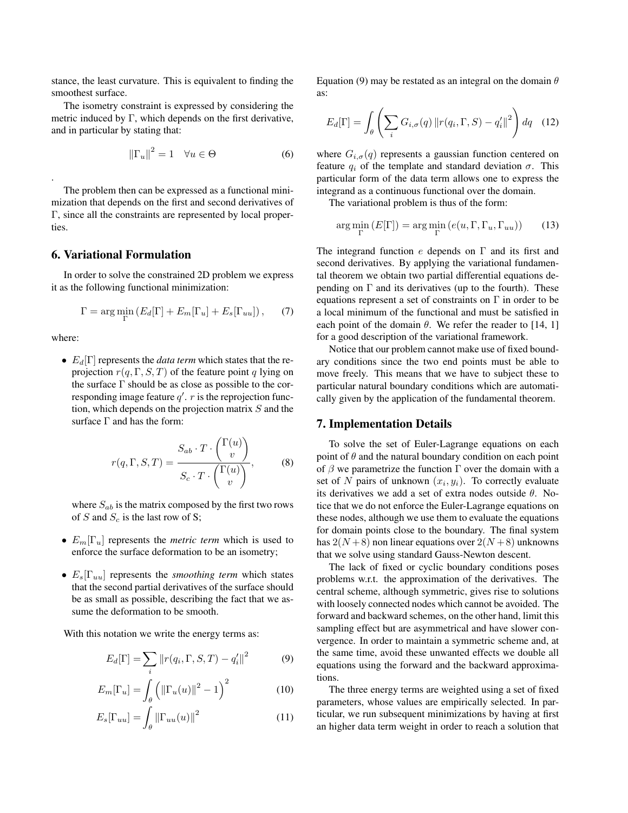stance, the least curvature. This is equivalent to finding the smoothest surface.

The isometry constraint is expressed by considering the metric induced by Γ, which depends on the first derivative, and in particular by stating that:

$$
\left\|\Gamma_u\right\|^2 = 1 \quad \forall u \in \Theta \tag{6}
$$

The problem then can be expressed as a functional minimization that depends on the first and second derivatives of Γ, since all the constraints are represented by local properties.

#### 6. Variational Formulation

In order to solve the constrained 2D problem we express it as the following functional minimization:

$$
\Gamma = \arg\min_{\Gamma} \left( E_d[\Gamma] + E_m[\Gamma_u] + E_s[\Gamma_{uu}] \right), \tag{7}
$$

where:

.

•  $E_d[\Gamma]$  represents the *data term* which states that the reprojection  $r(q, \Gamma, S, T)$  of the feature point q lying on the surface  $\Gamma$  should be as close as possible to the corresponding image feature  $q'$ . r is the reprojection function, which depends on the projection matrix  $S$  and the surface  $\Gamma$  and has the form:

$$
r(q, \Gamma, S, T) = \frac{S_{ab} \cdot T \cdot {(\Gamma(u)) \choose v}}{S_c \cdot T \cdot {(\Gamma(u)) \choose v}},
$$
(8)

where  $S_{ab}$  is the matrix composed by the first two rows of S and  $S_c$  is the last row of S;

- Em[Γu] represents the *metric term* which is used to enforce the surface deformation to be an isometry;
- Es[Γuu] represents the *smoothing term* which states that the second partial derivatives of the surface should be as small as possible, describing the fact that we assume the deformation to be smooth.

With this notation we write the energy terms as:

$$
E_d[\Gamma] = \sum_i \left\| r(q_i, \Gamma, S, T) - q_i' \right\|^2 \tag{9}
$$

$$
E_m[\Gamma_u] = \int_{\theta} \left( \left\| \Gamma_u(u) \right\|^2 - 1 \right)^2 \tag{10}
$$

$$
E_s[\Gamma_{uu}] = \int_{\theta} \left\| \Gamma_{uu}(u) \right\|^2 \tag{11}
$$

Equation (9) may be restated as an integral on the domain  $\theta$ as:

$$
E_d[\Gamma] = \int_{\theta} \left( \sum_{i} G_{i,\sigma}(q) \| r(q_i, \Gamma, S) - q_i' \|^{2} \right) dq \quad (12)
$$

where  $G_{i,\sigma}(q)$  represents a gaussian function centered on feature  $q_i$  of the template and standard deviation  $\sigma$ . This particular form of the data term allows one to express the integrand as a continuous functional over the domain.

The variational problem is thus of the form:

$$
\arg\min_{\Gamma} (E[\Gamma]) = \arg\min_{\Gamma} (e(u, \Gamma, \Gamma_u, \Gamma_{uu})) \tag{13}
$$

The integrand function  $e$  depends on  $\Gamma$  and its first and second derivatives. By applying the variational fundamental theorem we obtain two partial differential equations depending on  $\Gamma$  and its derivatives (up to the fourth). These equations represent a set of constraints on  $\Gamma$  in order to be a local minimum of the functional and must be satisfied in each point of the domain  $\theta$ . We refer the reader to [14, 1] for a good description of the variational framework.

Notice that our problem cannot make use of fixed boundary conditions since the two end points must be able to move freely. This means that we have to subject these to particular natural boundary conditions which are automatically given by the application of the fundamental theorem.

#### 7. Implementation Details

To solve the set of Euler-Lagrange equations on each point of  $\theta$  and the natural boundary condition on each point of  $\beta$  we parametrize the function  $\Gamma$  over the domain with a set of N pairs of unknown  $(x_i, y_i)$ . To correctly evaluate its derivatives we add a set of extra nodes outside  $\theta$ . Notice that we do not enforce the Euler-Lagrange equations on these nodes, although we use them to evaluate the equations for domain points close to the boundary. The final system has  $2(N+8)$  non linear equations over  $2(N+8)$  unknowns that we solve using standard Gauss-Newton descent.

The lack of fixed or cyclic boundary conditions poses problems w.r.t. the approximation of the derivatives. The central scheme, although symmetric, gives rise to solutions with loosely connected nodes which cannot be avoided. The forward and backward schemes, on the other hand, limit this sampling effect but are asymmetrical and have slower convergence. In order to maintain a symmetric scheme and, at the same time, avoid these unwanted effects we double all equations using the forward and the backward approximations.

The three energy terms are weighted using a set of fixed parameters, whose values are empirically selected. In particular, we run subsequent minimizations by having at first an higher data term weight in order to reach a solution that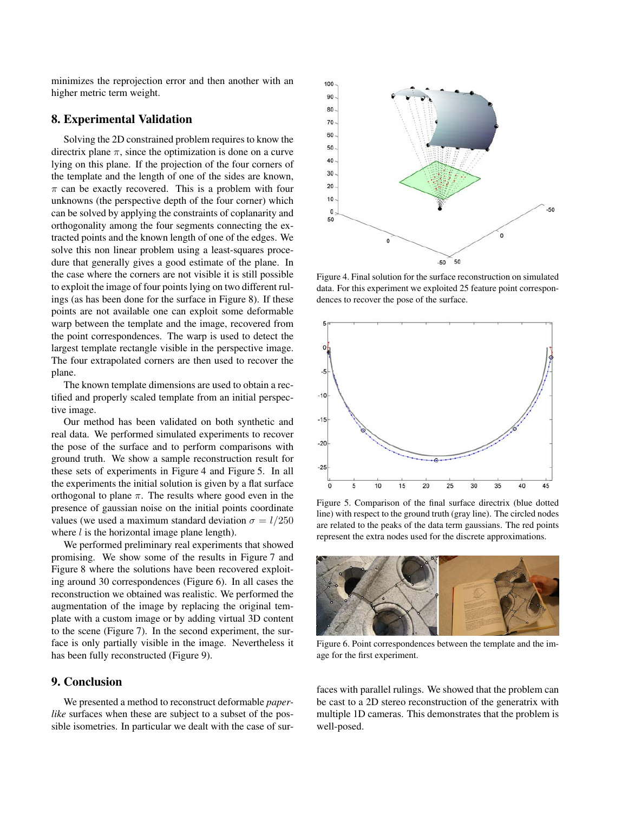minimizes the reprojection error and then another with an higher metric term weight.

## 8. Experimental Validation

Solving the 2D constrained problem requires to know the directrix plane  $\pi$ , since the optimization is done on a curve lying on this plane. If the projection of the four corners of the template and the length of one of the sides are known,  $\pi$  can be exactly recovered. This is a problem with four unknowns (the perspective depth of the four corner) which can be solved by applying the constraints of coplanarity and orthogonality among the four segments connecting the extracted points and the known length of one of the edges. We solve this non linear problem using a least-squares procedure that generally gives a good estimate of the plane. In the case where the corners are not visible it is still possible to exploit the image of four points lying on two different rulings (as has been done for the surface in Figure 8). If these points are not available one can exploit some deformable warp between the template and the image, recovered from the point correspondences. The warp is used to detect the largest template rectangle visible in the perspective image. The four extrapolated corners are then used to recover the plane.

The known template dimensions are used to obtain a rectified and properly scaled template from an initial perspective image.

Our method has been validated on both synthetic and real data. We performed simulated experiments to recover the pose of the surface and to perform comparisons with ground truth. We show a sample reconstruction result for these sets of experiments in Figure 4 and Figure 5. In all the experiments the initial solution is given by a flat surface orthogonal to plane  $\pi$ . The results where good even in the presence of gaussian noise on the initial points coordinate values (we used a maximum standard deviation  $\sigma = l/250$ where  $l$  is the horizontal image plane length).

We performed preliminary real experiments that showed promising. We show some of the results in Figure 7 and Figure 8 where the solutions have been recovered exploiting around 30 correspondences (Figure 6). In all cases the reconstruction we obtained was realistic. We performed the augmentation of the image by replacing the original template with a custom image or by adding virtual 3D content to the scene (Figure 7). In the second experiment, the surface is only partially visible in the image. Nevertheless it has been fully reconstructed (Figure 9).

# 9. Conclusion

We presented a method to reconstruct deformable *paperlike* surfaces when these are subject to a subset of the possible isometries. In particular we dealt with the case of sur-



Figure 4. Final solution for the surface reconstruction on simulated data. For this experiment we exploited 25 feature point correspondences to recover the pose of the surface.



Figure 5. Comparison of the final surface directrix (blue dotted line) with respect to the ground truth (gray line). The circled nodes are related to the peaks of the data term gaussians. The red points represent the extra nodes used for the discrete approximations.



Figure 6. Point correspondences between the template and the image for the first experiment.

faces with parallel rulings. We showed that the problem can be cast to a 2D stereo reconstruction of the generatrix with multiple 1D cameras. This demonstrates that the problem is well-posed.